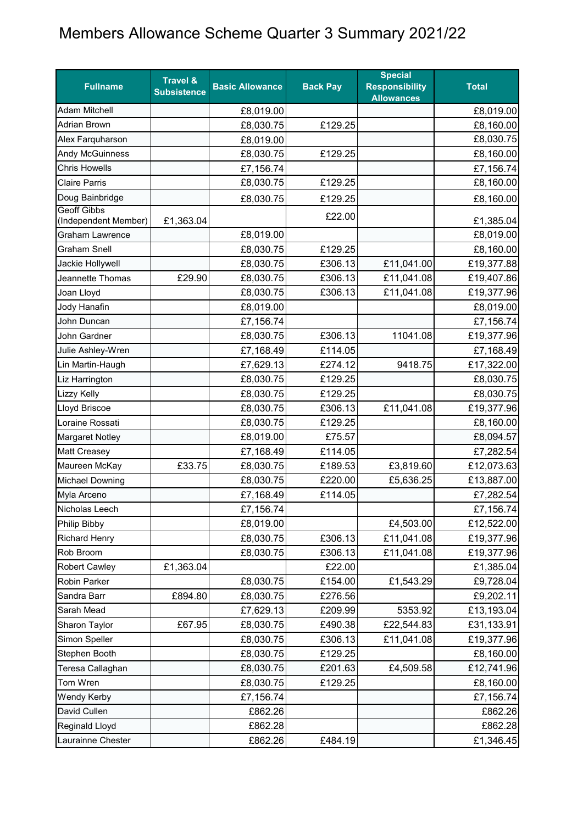## Members Allowance Scheme Quarter 3 Summary 2021/22

| <b>Fullname</b>                                | <b>Travel &amp;</b><br><b>Subsistence</b> | <b>Basic Allowance</b> | <b>Back Pay</b> | <b>Special</b><br><b>Responsibility</b><br><b>Allowances</b> | <b>Total</b>           |
|------------------------------------------------|-------------------------------------------|------------------------|-----------------|--------------------------------------------------------------|------------------------|
| <b>Adam Mitchell</b>                           |                                           | £8,019.00              |                 |                                                              | £8,019.00              |
| <b>Adrian Brown</b>                            |                                           | £8,030.75              | £129.25         |                                                              | £8,160.00              |
| Alex Farquharson                               |                                           | £8,019.00              |                 |                                                              | £8,030.75              |
| <b>Andy McGuinness</b>                         |                                           | £8,030.75              | £129.25         |                                                              | £8,160.00              |
| <b>Chris Howells</b>                           |                                           | £7,156.74              |                 |                                                              | £7,156.74              |
| <b>Claire Parris</b>                           |                                           | £8,030.75              | £129.25         |                                                              | £8,160.00              |
| Doug Bainbridge                                |                                           | £8,030.75              | £129.25         |                                                              | £8,160.00              |
| <b>Geoff Gibbs</b>                             |                                           |                        | £22.00          |                                                              |                        |
| (Independent Member)<br><b>Graham Lawrence</b> | £1,363.04                                 | £8,019.00              |                 |                                                              | £1,385.04<br>£8,019.00 |
| <b>Graham Snell</b>                            |                                           | £8,030.75              | £129.25         |                                                              | £8,160.00              |
| Jackie Hollywell                               |                                           | £8,030.75              | £306.13         | £11,041.00                                                   | £19,377.88             |
| Jeannette Thomas                               | £29.90                                    | £8,030.75              | £306.13         | £11,041.08                                                   | £19,407.86             |
| Joan Lloyd                                     |                                           | £8,030.75              | £306.13         | £11,041.08                                                   | £19,377.96             |
| Jody Hanafin                                   |                                           | £8,019.00              |                 |                                                              | £8,019.00              |
| John Duncan                                    |                                           | £7,156.74              |                 |                                                              | £7,156.74              |
| John Gardner                                   |                                           | £8,030.75              | £306.13         | 11041.08                                                     | £19,377.96             |
| Julie Ashley-Wren                              |                                           | £7,168.49              | £114.05         |                                                              | £7,168.49              |
| Lin Martin-Haugh                               |                                           | £7,629.13              | £274.12         | 9418.75                                                      | £17,322.00             |
| Liz Harrington                                 |                                           | £8,030.75              | £129.25         |                                                              | £8,030.75              |
| <b>Lizzy Kelly</b>                             |                                           | £8,030.75              | £129.25         |                                                              | £8,030.75              |
| Lloyd Briscoe                                  |                                           | £8,030.75              | £306.13         | £11,041.08                                                   | £19,377.96             |
| Loraine Rossati                                |                                           | £8,030.75              | £129.25         |                                                              | £8,160.00              |
| <b>Margaret Notley</b>                         |                                           | £8,019.00              | £75.57          |                                                              | £8,094.57              |
| <b>Matt Creasey</b>                            |                                           | £7,168.49              | £114.05         |                                                              | £7,282.54              |
| Maureen McKay                                  | £33.75                                    | £8,030.75              | £189.53         | £3,819.60                                                    | £12,073.63             |
| <b>Michael Downing</b>                         |                                           | £8,030.75              | £220.00         | £5,636.25                                                    | £13,887.00             |
| Myla Arceno                                    |                                           | £7,168.49              | £114.05         |                                                              | £7,282.54              |
| Nicholas Leech                                 |                                           | £7,156.74              |                 |                                                              | £7,156.74              |
| Philip Bibby                                   |                                           | £8,019.00              |                 | £4,503.00                                                    | £12,522.00             |
| <b>Richard Henry</b>                           |                                           | £8,030.75              | £306.13         | £11,041.08                                                   | £19,377.96             |
| Rob Broom                                      |                                           | £8,030.75              | £306.13         | £11,041.08                                                   | £19,377.96             |
| <b>Robert Cawley</b>                           | £1,363.04                                 |                        | £22.00          |                                                              | £1,385.04              |
| Robin Parker                                   |                                           | £8,030.75              | £154.00         | £1,543.29                                                    | £9,728.04              |
| Sandra Barr                                    | £894.80                                   | £8,030.75              | £276.56         |                                                              | £9,202.11              |
| Sarah Mead                                     |                                           | £7,629.13              | £209.99         | 5353.92                                                      | £13,193.04             |
| Sharon Taylor                                  | £67.95                                    | £8,030.75              | £490.38         | £22,544.83                                                   | £31,133.91             |
| Simon Speller                                  |                                           | £8,030.75              | £306.13         | £11,041.08                                                   | £19,377.96             |
| Stephen Booth                                  |                                           | £8,030.75              | £129.25         |                                                              | £8,160.00              |
| Teresa Callaghan                               |                                           | £8,030.75              | £201.63         | £4,509.58                                                    | £12,741.96             |
| Tom Wren                                       |                                           | £8,030.75              | £129.25         |                                                              | £8,160.00              |
| <b>Wendy Kerby</b>                             |                                           | £7,156.74              |                 |                                                              | £7,156.74              |
| David Cullen                                   |                                           | £862.26                |                 |                                                              | £862.26                |
| Reginald Lloyd                                 |                                           | £862.28                |                 |                                                              | £862.28                |
| Laurainne Chester                              |                                           | £862.26                | £484.19         |                                                              | £1,346.45              |